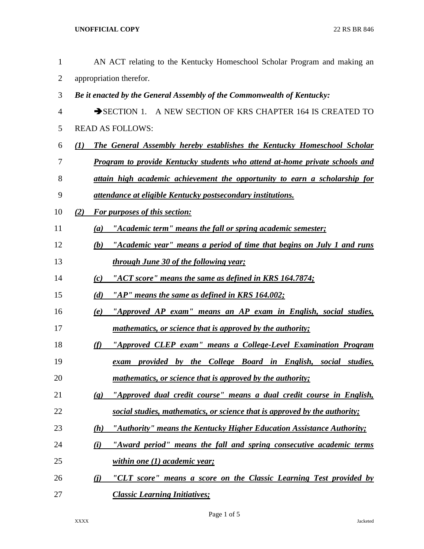| $\mathbf{1}$   | AN ACT relating to the Kentucky Homeschool Scholar Program and making an                            |
|----------------|-----------------------------------------------------------------------------------------------------|
| 2              | appropriation therefor.                                                                             |
| 3              | Be it enacted by the General Assembly of the Commonwealth of Kentucky:                              |
| $\overline{4}$ | SECTION 1. A NEW SECTION OF KRS CHAPTER 164 IS CREATED TO                                           |
| 5              | <b>READ AS FOLLOWS:</b>                                                                             |
| 6              | The General Assembly hereby establishes the Kentucky Homeschool Scholar<br>(1)                      |
| 7              | <b>Program to provide Kentucky students who attend at-home private schools and</b>                  |
| 8              | attain high academic achievement the opportunity to earn a scholarship for                          |
| 9              | attendance at eligible Kentucky postsecondary institutions.                                         |
| 10             | <b>For purposes of this section:</b><br>(2)                                                         |
| 11             | "Academic term" means the fall or spring academic semester;<br>(a)                                  |
| 12             | "Academic year" means a period of time that begins on July 1 and runs<br>(b)                        |
| 13             | through June 30 of the following year;                                                              |
| 14             | "ACT score" means the same as defined in KRS 164.7874;<br>(c)                                       |
| 15             | "AP" means the same as defined in KRS 164.002;<br>(d)                                               |
| 16             | "Approved AP exam" means an AP exam in English, social studies,<br>(e)                              |
| 17             | mathematics, or science that is approved by the authority;                                          |
| 18             | "Approved CLEP exam" means a College-Level Examination Program<br>(f)                               |
| 19             | exam provided by the College Board in English, social studies,                                      |
| 20             | mathematics, or science that is approved by the authority;                                          |
| 21             | "Approved dual credit course" means a dual credit course in English,<br>$\left( \mathbf{g} \right)$ |
| 22             | social studies, mathematics, or science that is approved by the authority;                          |
| 23             | "Authority" means the Kentucky Higher Education Assistance Authority;<br>(h)                        |
| 24             | "Award period" means the fall and spring consecutive academic terms<br>(i)                          |
| 25             | within one $(1)$ academic year;                                                                     |
| 26             | "CLT score" means a score on the Classic Learning Test provided by<br>(i)                           |
| 27             | <b>Classic Learning Initiatives;</b>                                                                |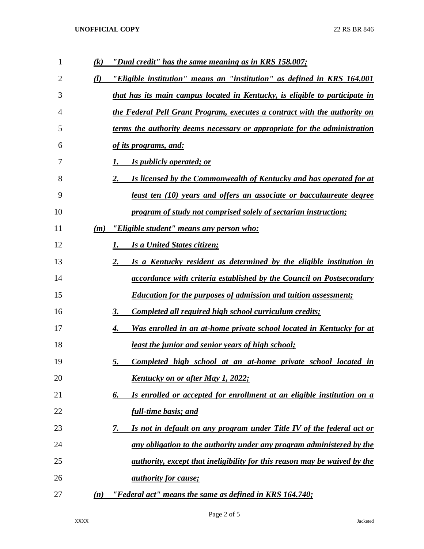| 1  | "Dual credit" has the same meaning as in KRS 158.007;<br>$\left( k\right)$       |
|----|----------------------------------------------------------------------------------|
| 2  | "Eligible institution" means an "institution" as defined in KRS 164.001<br>(l)   |
| 3  | that has its main campus located in Kentucky, is eligible to participate in      |
| 4  | the Federal Pell Grant Program, executes a contract with the authority on        |
| 5  | terms the authority deems necessary or appropriate for the administration        |
| 6  | <u>of its programs, and:</u>                                                     |
| 7  | Is publicly operated; or                                                         |
| 8  | Is licensed by the Commonwealth of Kentucky and has operated for at<br>2.        |
| 9  | least ten (10) years and offers an associate or baccalaureate degree             |
| 10 | program of study not comprised solely of sectarian instruction;                  |
| 11 | <u>"Eligible student" means any person who:</u><br>(m)                           |
| 12 | <b>Is a United States citizen;</b>                                               |
| 13 | 2.<br>Is a Kentucky resident as determined by the eligible institution in        |
| 14 | <i>accordance with criteria established by the Council on Postsecondary</i>      |
| 15 | <b>Education for the purposes of admission and tuition assessment;</b>           |
| 16 | Completed all required high school curriculum credits;<br>3.                     |
| 17 | Was enrolled in an at-home private school located in Kentucky for at<br>4.       |
| 18 | <u>least the junior and senior years of high school;</u>                         |
| 19 | Completed high school at an at-home private school located in<br>5.              |
| 20 | <u>Kentucky on or after May 1, 2022;</u>                                         |
| 21 | Is enrolled or accepted for enrollment at an eligible institution on a<br>6.     |
| 22 | <b>full-time basis; and</b>                                                      |
| 23 | Is not in default on any program under Title IV of the federal act or<br>7.      |
| 24 | any obligation to the authority under any program administered by the            |
| 25 | <i>authority, except that ineligibility for this reason may be waived by the</i> |
| 26 | <i><u>authority for cause;</u></i>                                               |
| 27 | "Federal act" means the same as defined in KRS 164.740;<br>(n)                   |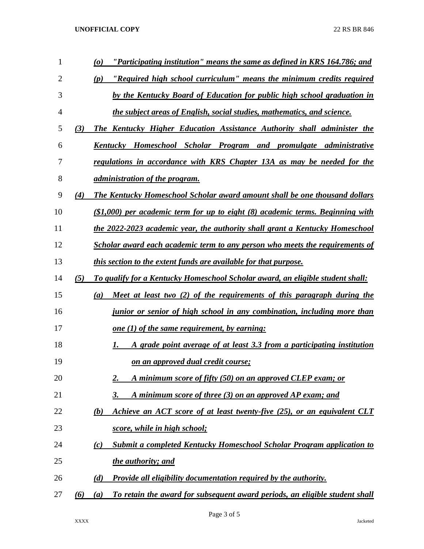## **UNOFFICIAL COPY** 22 RS BR 846

| $\mathbf{1}$   |     | "Participating institution" means the same as defined in KRS 164.786; and<br>$\boldsymbol{\omega}$ |
|----------------|-----|----------------------------------------------------------------------------------------------------|
| $\overline{2}$ |     | <u>"Required high school curriculum" means the minimum credits required</u><br>(p)                 |
| 3              |     | by the Kentucky Board of Education for public high school graduation in                            |
| 4              |     | the subject areas of English, social studies, mathematics, and science.                            |
| 5              | (3) | The Kentucky Higher Education Assistance Authority shall administer the                            |
| 6              |     | Kentucky Homeschool Scholar Program and promulgate administrative                                  |
| 7              |     | regulations in accordance with KRS Chapter 13A as may be needed for the                            |
| 8              |     | <i><u>administration of the program.</u></i>                                                       |
| 9              | (4) | The Kentucky Homeschool Scholar award amount shall be one thousand dollars                         |
| 10             |     | $(\$1,000)$ per academic term for up to eight $(8)$ academic terms. Beginning with                 |
| 11             |     | the 2022-2023 academic year, the authority shall grant a Kentucky Homeschool                       |
| 12             |     | Scholar award each academic term to any person who meets the requirements of                       |
| 13             |     | <i>this section to the extent funds are available for that purpose.</i>                            |
| 14             | (5) | To qualify for a Kentucky Homeschool Scholar award, an eligible student shall:                     |
| 15             |     | Meet at least two (2) of the requirements of this paragraph during the<br>(a)                      |
| 16             |     | <i>junior or senior of high school in any combination, including more than</i>                     |
| 17             |     | <u>one (1) of the same requirement, by earning:</u>                                                |
| 18             |     | A grade point average of at least 3.3 from a participating institution<br>1.                       |
| 19             |     | on an approved dual credit course;                                                                 |
| 20             |     | A minimum score of fifty (50) on an approved CLEP exam; or<br>2.                                   |
| 21             |     | A minimum score of three (3) on an approved AP exam; and<br>3.                                     |
| 22             |     | Achieve an ACT score of at least twenty-five (25), or an equivalent CLT<br>(b)                     |
| 23             |     | score, while in high school;                                                                       |
| 24             |     | <b>Submit a completed Kentucky Homeschool Scholar Program application to</b><br>(c)                |
| 25             |     | <u>the authority; and</u>                                                                          |
| 26             |     | <b>Provide all eligibility documentation required by the authority.</b><br>(d)                     |
| 27             | (6) | To retain the award for subsequent award periods, an eligible student shall<br>(a)                 |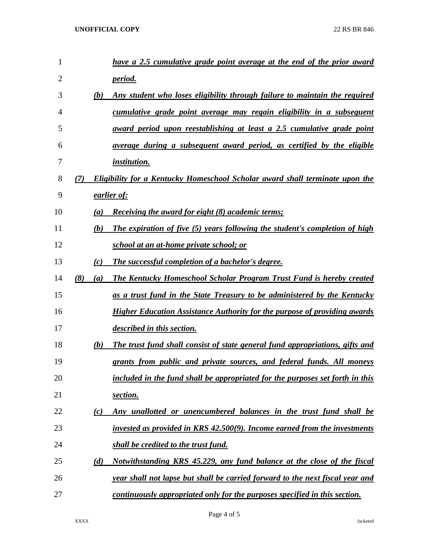| 1  |            | have a 2.5 cumulative grade point average at the end of the prior award          |
|----|------------|----------------------------------------------------------------------------------|
| 2  |            | <i>period.</i>                                                                   |
| 3  | (b)        | Any student who loses eligibility through failure to maintain the required       |
| 4  |            | <u>cumulative grade point average may regain eligibility in a subsequent</u>     |
| 5  |            | award period upon reestablishing at least a 2.5 cumulative grade point           |
| 6  |            | average during a subsequent award period, as certified by the eligible           |
| 7  |            | <i>institution.</i>                                                              |
| 8  | (7)        | Eligibility for a Kentucky Homeschool Scholar award shall terminate upon the     |
| 9  |            | earlier of:                                                                      |
| 10 | (a)        | <b>Receiving the award for eight (8) academic terms;</b>                         |
| 11 | (b)        | The expiration of five (5) years following the student's completion of high      |
| 12 |            | <u>school at an at-home private school; or</u>                                   |
| 13 | (c)        | <b>The successful completion of a bachelor's degree.</b>                         |
| 14 | (8)<br>(a) | <b>The Kentucky Homeschool Scholar Program Trust Fund is hereby created</b>      |
| 15 |            | as a trust fund in the State Treasury to be administered by the Kentucky         |
| 16 |            | <b>Higher Education Assistance Authority for the purpose of providing awards</b> |
| 17 |            | <i>described in this section.</i>                                                |
| 18 | (b)        | The trust fund shall consist of state general fund appropriations, gifts and     |
| 19 |            | grants from public and private sources, and federal funds. All moneys            |
| 20 |            | included in the fund shall be appropriated for the purposes set forth in this    |
| 21 |            | section.                                                                         |
| 22 | (c)        | Any unallotted or unencumbered balances in the trust fund shall be               |
| 23 |            | invested as provided in KRS 42.500(9). Income earned from the investments        |
| 24 |            | <b>shall be credited to the trust fund.</b>                                      |
| 25 | (d)        | Notwithstanding KRS 45.229, any fund balance at the close of the fiscal          |
| 26 |            | year shall not lapse but shall be carried forward to the next fiscal year and    |
| 27 |            | continuously appropriated only for the purposes specified in this section.       |